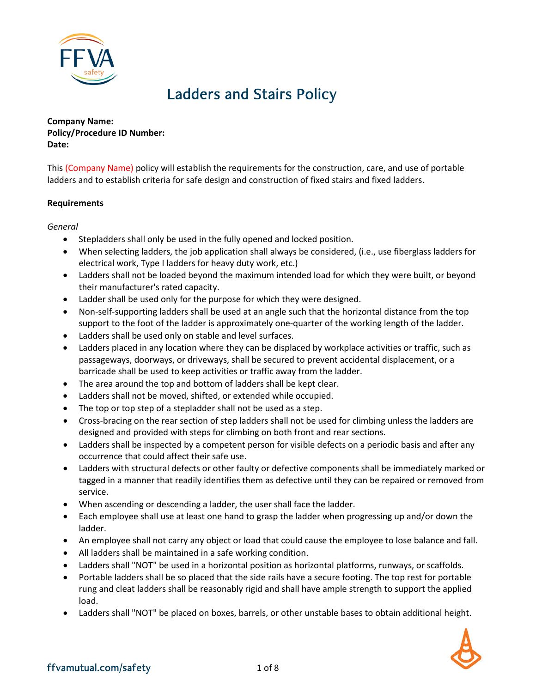

# Ladders and Stairs Policy

**Company Name: Policy/Procedure ID Number: Date:**

This (Company Name) policy will establish the requirements for the construction, care, and use of portable ladders and to establish criteria for safe design and construction of fixed stairs and fixed ladders.

### **Requirements**

*General*

- Stepladders shall only be used in the fully opened and locked position.
- When selecting ladders, the job application shall always be considered, (i.e., use fiberglass ladders for electrical work, Type I ladders for heavy duty work, etc.)
- Ladders shall not be loaded beyond the maximum intended load for which they were built, or beyond their manufacturer's rated capacity.
- Ladder shall be used only for the purpose for which they were designed.
- Non-self-supporting ladders shall be used at an angle such that the horizontal distance from the top support to the foot of the ladder is approximately one-quarter of the working length of the ladder.
- Ladders shall be used only on stable and level surfaces.
- Ladders placed in any location where they can be displaced by workplace activities or traffic, such as passageways, doorways, or driveways, shall be secured to prevent accidental displacement, or a barricade shall be used to keep activities or traffic away from the ladder.
- The area around the top and bottom of ladders shall be kept clear.
- Ladders shall not be moved, shifted, or extended while occupied.
- The top or top step of a stepladder shall not be used as a step.
- Cross-bracing on the rear section of step ladders shall not be used for climbing unless the ladders are designed and provided with steps for climbing on both front and rear sections.
- Ladders shall be inspected by a competent person for visible defects on a periodic basis and after any occurrence that could affect their safe use.
- Ladders with structural defects or other faulty or defective components shall be immediately marked or tagged in a manner that readily identifies them as defective until they can be repaired or removed from service.
- When ascending or descending a ladder, the user shall face the ladder.
- Each employee shall use at least one hand to grasp the ladder when progressing up and/or down the ladder.
- An employee shall not carry any object or load that could cause the employee to lose balance and fall.
- All ladders shall be maintained in a safe working condition.
- Ladders shall "NOT" be used in a horizontal position as horizontal platforms, runways, or scaffolds.
- Portable ladders shall be so placed that the side rails have a secure footing. The top rest for portable rung and cleat ladders shall be reasonably rigid and shall have ample strength to support the applied load.
- Ladders shall "NOT" be placed on boxes, barrels, or other unstable bases to obtain additional height.

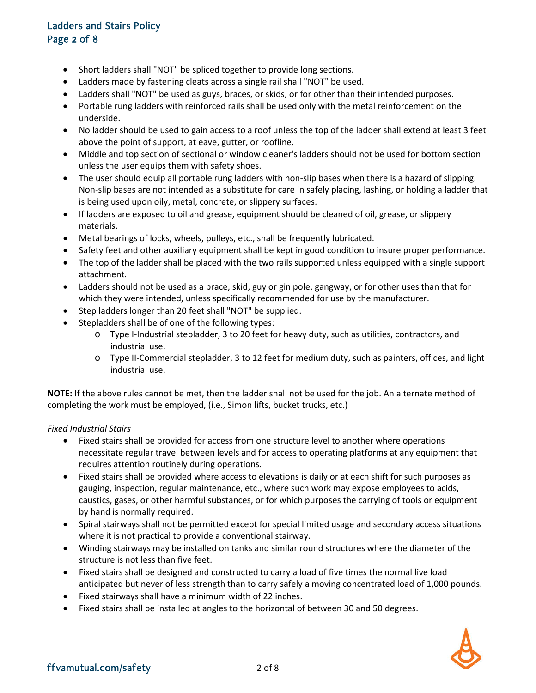# Ladders and Stairs Policy Page 2 of 8

- Short ladders shall "NOT" be spliced together to provide long sections.
- Ladders made by fastening cleats across a single rail shall "NOT" be used.
- Ladders shall "NOT" be used as guys, braces, or skids, or for other than their intended purposes.
- Portable rung ladders with reinforced rails shall be used only with the metal reinforcement on the underside.
- No ladder should be used to gain access to a roof unless the top of the ladder shall extend at least 3 feet above the point of support, at eave, gutter, or roofline.
- Middle and top section of sectional or window cleaner's ladders should not be used for bottom section unless the user equips them with safety shoes.
- The user should equip all portable rung ladders with non-slip bases when there is a hazard of slipping. Non-slip bases are not intended as a substitute for care in safely placing, lashing, or holding a ladder that is being used upon oily, metal, concrete, or slippery surfaces.
- If ladders are exposed to oil and grease, equipment should be cleaned of oil, grease, or slippery materials.
- Metal bearings of locks, wheels, pulleys, etc., shall be frequently lubricated.
- Safety feet and other auxiliary equipment shall be kept in good condition to insure proper performance.
- The top of the ladder shall be placed with the two rails supported unless equipped with a single support attachment.
- Ladders should not be used as a brace, skid, guy or gin pole, gangway, or for other uses than that for which they were intended, unless specifically recommended for use by the manufacturer.
- Step ladders longer than 20 feet shall "NOT" be supplied.
- Stepladders shall be of one of the following types:
	- o Type I-Industrial stepladder, 3 to 20 feet for heavy duty, such as utilities, contractors, and industrial use.
	- o Type II-Commercial stepladder, 3 to 12 feet for medium duty, such as painters, offices, and light industrial use.

**NOTE:** If the above rules cannot be met, then the ladder shall not be used for the job. An alternate method of completing the work must be employed, (i.e., Simon lifts, bucket trucks, etc.)

### *Fixed Industrial Stairs*

- Fixed stairs shall be provided for access from one structure level to another where operations necessitate regular travel between levels and for access to operating platforms at any equipment that requires attention routinely during operations.
- Fixed stairs shall be provided where access to elevations is daily or at each shift for such purposes as gauging, inspection, regular maintenance, etc., where such work may expose employees to acids, caustics, gases, or other harmful substances, or for which purposes the carrying of tools or equipment by hand is normally required.
- Spiral stairways shall not be permitted except for special limited usage and secondary access situations where it is not practical to provide a conventional stairway.
- Winding stairways may be installed on tanks and similar round structures where the diameter of the structure is not less than five feet.
- Fixed stairs shall be designed and constructed to carry a load of five times the normal live load anticipated but never of less strength than to carry safely a moving concentrated load of 1,000 pounds.
- Fixed stairways shall have a minimum width of 22 inches.
- Fixed stairs shall be installed at angles to the horizontal of between 30 and 50 degrees.

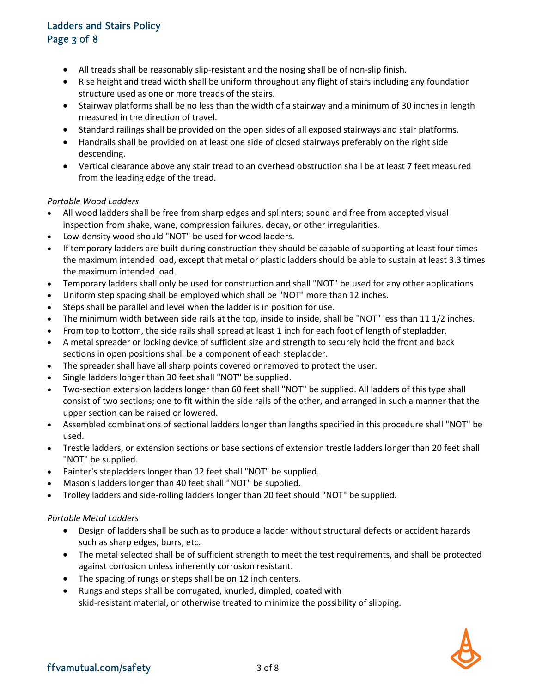# Ladders and Stairs Policy Page 3 of 8

- All treads shall be reasonably slip-resistant and the nosing shall be of non-slip finish.
- Rise height and tread width shall be uniform throughout any flight of stairs including any foundation structure used as one or more treads of the stairs.
- Stairway platforms shall be no less than the width of a stairway and a minimum of 30 inches in length measured in the direction of travel.
- Standard railings shall be provided on the open sides of all exposed stairways and stair platforms.
- Handrails shall be provided on at least one side of closed stairways preferably on the right side descending.
- Vertical clearance above any stair tread to an overhead obstruction shall be at least 7 feet measured from the leading edge of the tread.

### *Portable Wood Ladders*

- All wood ladders shall be free from sharp edges and splinters; sound and free from accepted visual inspection from shake, wane, compression failures, decay, or other irregularities.
- Low-density wood should "NOT" be used for wood ladders.
- If temporary ladders are built during construction they should be capable of supporting at least four times the maximum intended load, except that metal or plastic ladders should be able to sustain at least 3.3 times the maximum intended load.
- Temporary ladders shall only be used for construction and shall "NOT" be used for any other applications.
- Uniform step spacing shall be employed which shall be "NOT" more than 12 inches.
- Steps shall be parallel and level when the ladder is in position for use.
- The minimum width between side rails at the top, inside to inside, shall be "NOT" less than 11 1/2 inches.
- From top to bottom, the side rails shall spread at least 1 inch for each foot of length of stepladder.
- A metal spreader or locking device of sufficient size and strength to securely hold the front and back sections in open positions shall be a component of each stepladder.
- The spreader shall have all sharp points covered or removed to protect the user.
- Single ladders longer than 30 feet shall "NOT" be supplied.
- Two-section extension ladders longer than 60 feet shall "NOT" be supplied. All ladders of this type shall consist of two sections; one to fit within the side rails of the other, and arranged in such a manner that the upper section can be raised or lowered.
- Assembled combinations of sectional ladders longer than lengths specified in this procedure shall "NOT" be used.
- Trestle ladders, or extension sections or base sections of extension trestle ladders longer than 20 feet shall "NOT" be supplied.
- Painter's stepladders longer than 12 feet shall "NOT" be supplied.
- Mason's ladders longer than 40 feet shall "NOT" be supplied.
- Trolley ladders and side-rolling ladders longer than 20 feet should "NOT" be supplied.

#### *Portable Metal Ladders*

- Design of ladders shall be such as to produce a ladder without structural defects or accident hazards such as sharp edges, burrs, etc.
- The metal selected shall be of sufficient strength to meet the test requirements, and shall be protected against corrosion unless inherently corrosion resistant.
- The spacing of rungs or steps shall be on 12 inch centers.
- Rungs and steps shall be corrugated, knurled, dimpled, coated with skid-resistant material, or otherwise treated to minimize the possibility of slipping.

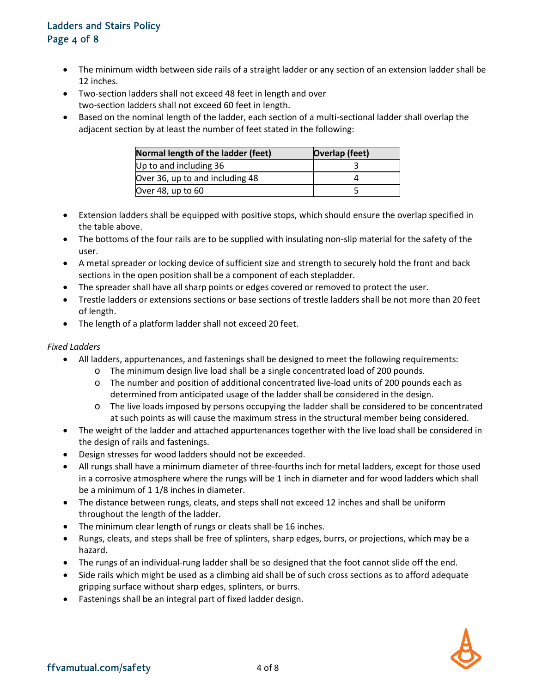# Ladders and Stairs Policy Page 4 of 8

- The minimum width between side rails of a straight ladder or any section of an extension ladder shall be 12 inches.
- Two-section ladders shall not exceed 48 feet in length and over two-section ladders shall not exceed 60 feet in length.
- Based on the nominal length of the ladder, each section of a multi-sectional ladder shall overlap the adjacent section by at least the number of feet stated in the following:

| Normal length of the ladder (feet) | Overlap (feet) |
|------------------------------------|----------------|
| Up to and including 36             |                |
| Over 36, up to and including 48    |                |
| Over 48, up to $60$                |                |

- Extension ladders shall be equipped with positive stops, which should ensure the overlap specified in the table above.
- The bottoms of the four rails are to be supplied with insulating non-slip material for the safety of the user.
- A metal spreader or locking device of sufficient size and strength to securely hold the front and back sections in the open position shall be a component of each stepladder.
- The spreader shall have all sharp points or edges covered or removed to protect the user.
- Trestle ladders or extensions sections or base sections of trestle ladders shall be not more than 20 feet of length.
- The length of a platform ladder shall not exceed 20 feet.

### *Fixed Ladders*

- All ladders, appurtenances, and fastenings shall be designed to meet the following requirements:
	- o The minimum design live load shall be a single concentrated load of 200 pounds.
	- o The number and position of additional concentrated live-load units of 200 pounds each as determined from anticipated usage of the ladder shall be considered in the design.
	- o The live loads imposed by persons occupying the ladder shall be considered to be concentrated at such points as will cause the maximum stress in the structural member being considered.
- The weight of the ladder and attached appurtenances together with the live load shall be considered in the design of rails and fastenings.
- Design stresses for wood ladders should not be exceeded.
- All rungs shall have a minimum diameter of three-fourths inch for metal ladders, except for those used in a corrosive atmosphere where the rungs will be 1 inch in diameter and for wood ladders which shall be a minimum of 1 1/8 inches in diameter.
- The distance between rungs, cleats, and steps shall not exceed 12 inches and shall be uniform throughout the length of the ladder.
- The minimum clear length of rungs or cleats shall be 16 inches.
- Rungs, cleats, and steps shall be free of splinters, sharp edges, burrs, or projections, which may be a hazard.
- The rungs of an individual-rung ladder shall be so designed that the foot cannot slide off the end.
- Side rails which might be used as a climbing aid shall be of such cross sections as to afford adequate gripping surface without sharp edges, splinters, or burrs.
- Fastenings shall be an integral part of fixed ladder design.

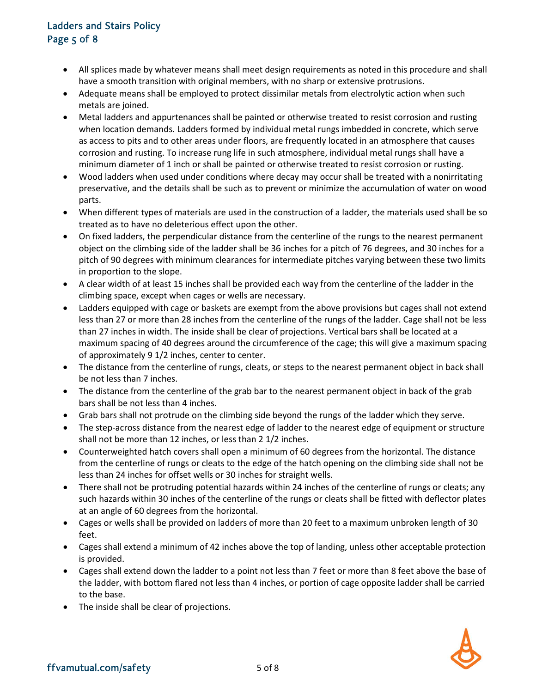# Ladders and Stairs Policy Page 5 of 8

- All splices made by whatever means shall meet design requirements as noted in this procedure and shall have a smooth transition with original members, with no sharp or extensive protrusions.
- Adequate means shall be employed to protect dissimilar metals from electrolytic action when such metals are joined.
- Metal ladders and appurtenances shall be painted or otherwise treated to resist corrosion and rusting when location demands. Ladders formed by individual metal rungs imbedded in concrete, which serve as access to pits and to other areas under floors, are frequently located in an atmosphere that causes corrosion and rusting. To increase rung life in such atmosphere, individual metal rungs shall have a minimum diameter of 1 inch or shall be painted or otherwise treated to resist corrosion or rusting.
- Wood ladders when used under conditions where decay may occur shall be treated with a nonirritating preservative, and the details shall be such as to prevent or minimize the accumulation of water on wood parts.
- When different types of materials are used in the construction of a ladder, the materials used shall be so treated as to have no deleterious effect upon the other.
- On fixed ladders, the perpendicular distance from the centerline of the rungs to the nearest permanent object on the climbing side of the ladder shall be 36 inches for a pitch of 76 degrees, and 30 inches for a pitch of 90 degrees with minimum clearances for intermediate pitches varying between these two limits in proportion to the slope.
- A clear width of at least 15 inches shall be provided each way from the centerline of the ladder in the climbing space, except when cages or wells are necessary.
- Ladders equipped with cage or baskets are exempt from the above provisions but cages shall not extend less than 27 or more than 28 inches from the centerline of the rungs of the ladder. Cage shall not be less than 27 inches in width. The inside shall be clear of projections. Vertical bars shall be located at a maximum spacing of 40 degrees around the circumference of the cage; this will give a maximum spacing of approximately 9 1/2 inches, center to center.
- The distance from the centerline of rungs, cleats, or steps to the nearest permanent object in back shall be not less than 7 inches.
- The distance from the centerline of the grab bar to the nearest permanent object in back of the grab bars shall be not less than 4 inches.
- Grab bars shall not protrude on the climbing side beyond the rungs of the ladder which they serve.
- The step-across distance from the nearest edge of ladder to the nearest edge of equipment or structure shall not be more than 12 inches, or less than 2 1/2 inches.
- Counterweighted hatch covers shall open a minimum of 60 degrees from the horizontal. The distance from the centerline of rungs or cleats to the edge of the hatch opening on the climbing side shall not be less than 24 inches for offset wells or 30 inches for straight wells.
- There shall not be protruding potential hazards within 24 inches of the centerline of rungs or cleats; any such hazards within 30 inches of the centerline of the rungs or cleats shall be fitted with deflector plates at an angle of 60 degrees from the horizontal.
- Cages or wells shall be provided on ladders of more than 20 feet to a maximum unbroken length of 30 feet.
- Cages shall extend a minimum of 42 inches above the top of landing, unless other acceptable protection is provided.
- Cages shall extend down the ladder to a point not less than 7 feet or more than 8 feet above the base of the ladder, with bottom flared not less than 4 inches, or portion of cage opposite ladder shall be carried to the base.
- The inside shall be clear of projections.

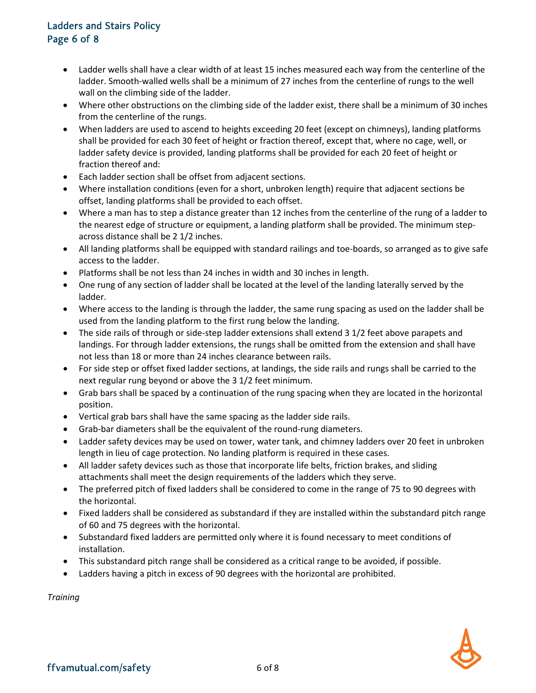### Ladders and Stairs Policy Page 6 of 8

- Ladder wells shall have a clear width of at least 15 inches measured each way from the centerline of the ladder. Smooth-walled wells shall be a minimum of 27 inches from the centerline of rungs to the well wall on the climbing side of the ladder.
- Where other obstructions on the climbing side of the ladder exist, there shall be a minimum of 30 inches from the centerline of the rungs.
- When ladders are used to ascend to heights exceeding 20 feet (except on chimneys), landing platforms shall be provided for each 30 feet of height or fraction thereof, except that, where no cage, well, or ladder safety device is provided, landing platforms shall be provided for each 20 feet of height or fraction thereof and:
- Each ladder section shall be offset from adjacent sections.
- Where installation conditions (even for a short, unbroken length) require that adjacent sections be offset, landing platforms shall be provided to each offset.
- Where a man has to step a distance greater than 12 inches from the centerline of the rung of a ladder to the nearest edge of structure or equipment, a landing platform shall be provided. The minimum stepacross distance shall be 2 1/2 inches.
- All landing platforms shall be equipped with standard railings and toe-boards, so arranged as to give safe access to the ladder.
- Platforms shall be not less than 24 inches in width and 30 inches in length.
- One rung of any section of ladder shall be located at the level of the landing laterally served by the ladder.
- Where access to the landing is through the ladder, the same rung spacing as used on the ladder shall be used from the landing platform to the first rung below the landing.
- The side rails of through or side-step ladder extensions shall extend 3 1/2 feet above parapets and landings. For through ladder extensions, the rungs shall be omitted from the extension and shall have not less than 18 or more than 24 inches clearance between rails.
- For side step or offset fixed ladder sections, at landings, the side rails and rungs shall be carried to the next regular rung beyond or above the 3 1/2 feet minimum.
- Grab bars shall be spaced by a continuation of the rung spacing when they are located in the horizontal position.
- Vertical grab bars shall have the same spacing as the ladder side rails.
- Grab-bar diameters shall be the equivalent of the round-rung diameters.
- Ladder safety devices may be used on tower, water tank, and chimney ladders over 20 feet in unbroken length in lieu of cage protection. No landing platform is required in these cases.
- All ladder safety devices such as those that incorporate life belts, friction brakes, and sliding attachments shall meet the design requirements of the ladders which they serve.
- The preferred pitch of fixed ladders shall be considered to come in the range of 75 to 90 degrees with the horizontal.
- Fixed ladders shall be considered as substandard if they are installed within the substandard pitch range of 60 and 75 degrees with the horizontal.
- Substandard fixed ladders are permitted only where it is found necessary to meet conditions of installation.
- This substandard pitch range shall be considered as a critical range to be avoided, if possible.
- Ladders having a pitch in excess of 90 degrees with the horizontal are prohibited.

*Training*

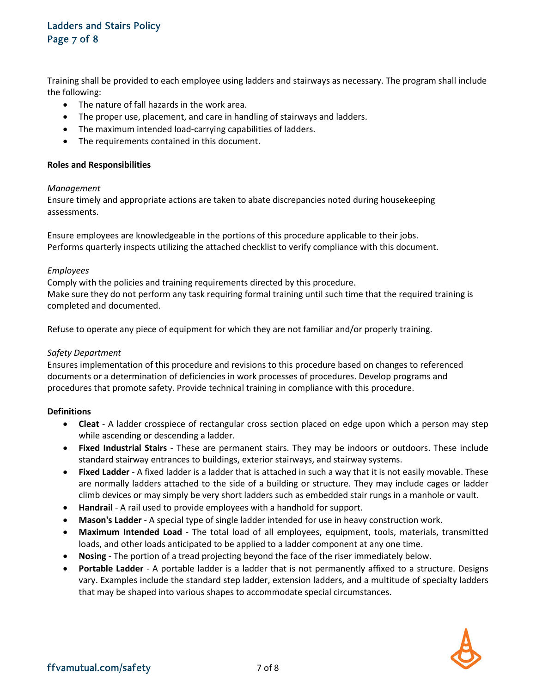# Ladders and Stairs Policy Page 7 of 8

Training shall be provided to each employee using ladders and stairways as necessary. The program shall include the following:

- The nature of fall hazards in the work area.
- The proper use, placement, and care in handling of stairways and ladders.
- The maximum intended load-carrying capabilities of ladders.
- The requirements contained in this document.

### **Roles and Responsibilities**

### *Management*

Ensure timely and appropriate actions are taken to abate discrepancies noted during housekeeping assessments.

Ensure employees are knowledgeable in the portions of this procedure applicable to their jobs. Performs quarterly inspects utilizing the attached checklist to verify compliance with this document.

### *Employees*

Comply with the policies and training requirements directed by this procedure. Make sure they do not perform any task requiring formal training until such time that the required training is completed and documented.

Refuse to operate any piece of equipment for which they are not familiar and/or properly training.

### *Safety Department*

Ensures implementation of this procedure and revisions to this procedure based on changes to referenced documents or a determination of deficiencies in work processes of procedures. Develop programs and procedures that promote safety. Provide technical training in compliance with this procedure.

### **Definitions**

- **Cleat** A ladder crosspiece of rectangular cross section placed on edge upon which a person may step while ascending or descending a ladder.
- **Fixed Industrial Stairs** These are permanent stairs. They may be indoors or outdoors. These include standard stairway entrances to buildings, exterior stairways, and stairway systems.
- **Fixed Ladder** A fixed ladder is a ladder that is attached in such a way that it is not easily movable. These are normally ladders attached to the side of a building or structure. They may include cages or ladder climb devices or may simply be very short ladders such as embedded stair rungs in a manhole or vault.
- **Handrail** A rail used to provide employees with a handhold for support.
- **Mason's Ladder** A special type of single ladder intended for use in heavy construction work.
- **Maximum Intended Load** The total load of all employees, equipment, tools, materials, transmitted loads, and other loads anticipated to be applied to a ladder component at any one time.
- **Nosing** The portion of a tread projecting beyond the face of the riser immediately below.
- **Portable Ladder** A portable ladder is a ladder that is not permanently affixed to a structure. Designs vary. Examples include the standard step ladder, extension ladders, and a multitude of specialty ladders that may be shaped into various shapes to accommodate special circumstances.